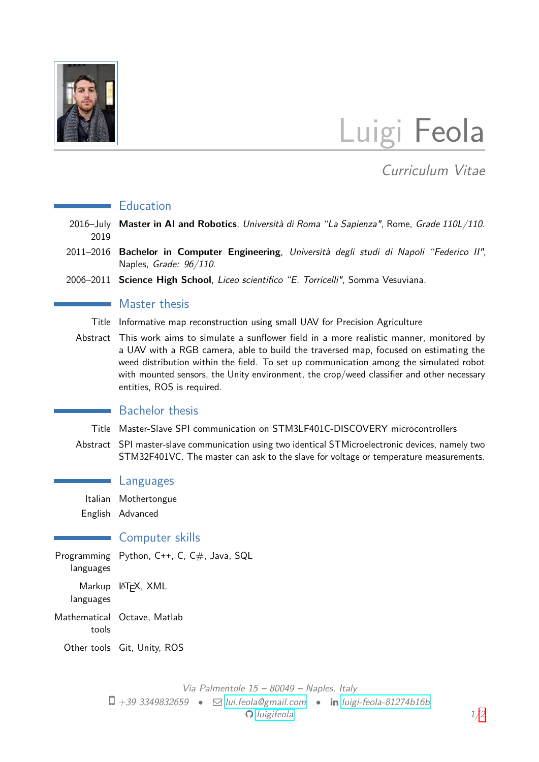

# Luigi Feola

## Curriculum Vitae

#### **Education**

- 2016–July **Master in AI and Robotics**, Università di Roma "La Sapienza", Rome, Grade 110L/110. 2019
- 2011–2016 **Bachelor in Computer Engineering**, Università degli studi di Napoli "Federico II", Naples, Grade: 96/110.
- 2006–2011 **Science High School**, Liceo scientifico "E. Torricelli", Somma Vesuviana.

#### Master thesis

- Title Informative map reconstruction using small UAV for Precision Agriculture
- Abstract This work aims to simulate a sunflower field in a more realistic manner, monitored by a UAV with a RGB camera, able to build the traversed map, focused on estimating the weed distribution within the field. To set up communication among the simulated robot with mounted sensors, the Unity environment, the crop/weed classifier and other necessary entities, ROS is required.

#### Bachelor thesis

- Title Master-Slave SPI communication on STM3LF401C-DISCOVERY microcontrollers
- Abstract SPI master-slave communication using two identical STMicroelectronic devices, namely two STM32F401VC. The master can ask to the slave for voltage or temperature measurements.

#### Languages

Italian Mothertongue

English Advanced

#### **Computer skills**

Programming Python, C++, C, C#, Java, SQL languages Markup L<sup>A</sup>T<sub>E</sub>X, XML languages Mathematical Octave, Matlab tools Other tools Git, Unity, ROS